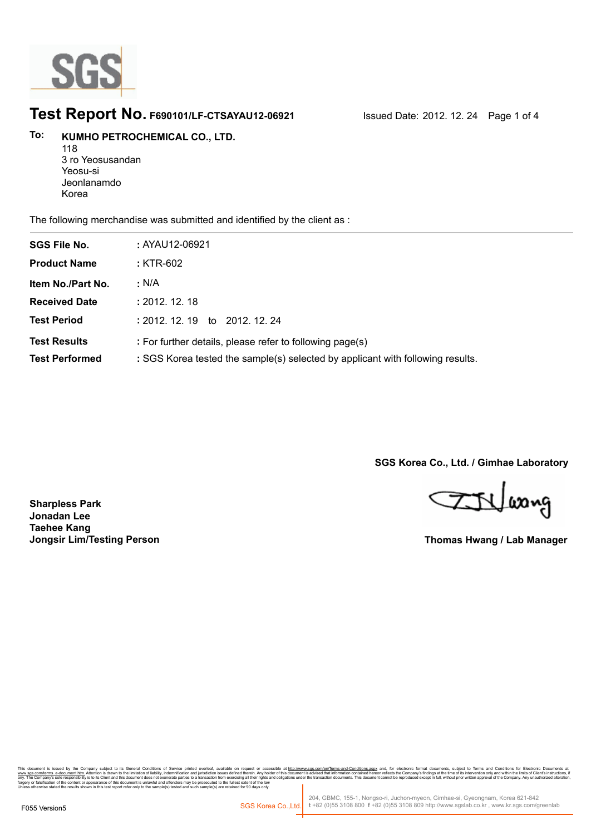

### **Test Report No. F690101/LF-CTSAYAU12-06921** Issued Date: 2012. 12. 24 Page 1 of 4

#### **KUMHO PETROCHEMICAL CO., LTD. To:**

118 3 ro Yeosusandan Yeosu-si Jeonlanamdo Korea

The following merchandise was submitted and identified by the client as :

| <b>SGS File No.</b>                          | : AYAU12-06921                                                                                                                             |
|----------------------------------------------|--------------------------------------------------------------------------------------------------------------------------------------------|
| <b>Product Name</b>                          | : KTR-602                                                                                                                                  |
| Item No./Part No.                            | : N/A                                                                                                                                      |
| <b>Received Date</b>                         | : 2012.12.18                                                                                                                               |
| <b>Test Period</b>                           | : 2012, 12, 19<br>to 2012, 12, 24                                                                                                          |
| <b>Test Results</b><br><b>Test Performed</b> | : For further details, please refer to following page(s)<br>: SGS Korea tested the sample(s) selected by applicant with following results. |

**SGS Korea Co., Ltd. / Gimhae Laboratory**

ETVlasng

**Thomas Hwang / Lab Manager**

**Sharpless Park Jonadan Lee Taehee Kang Jongsir Lim/Testing Person**

onic Tormar, documents, subject to Terms and Condutors for Electronic Documents<br>mpany's findings at the time of its intervention only and within the limits of Client's instructions<br>duced except in full, without prior writt forgery or falsification of the content or appearance of this document is unlawful and offenders may be prosecuted to the fullest extent of the law<br>Unless otherwise stated the results shown in this test report refer only t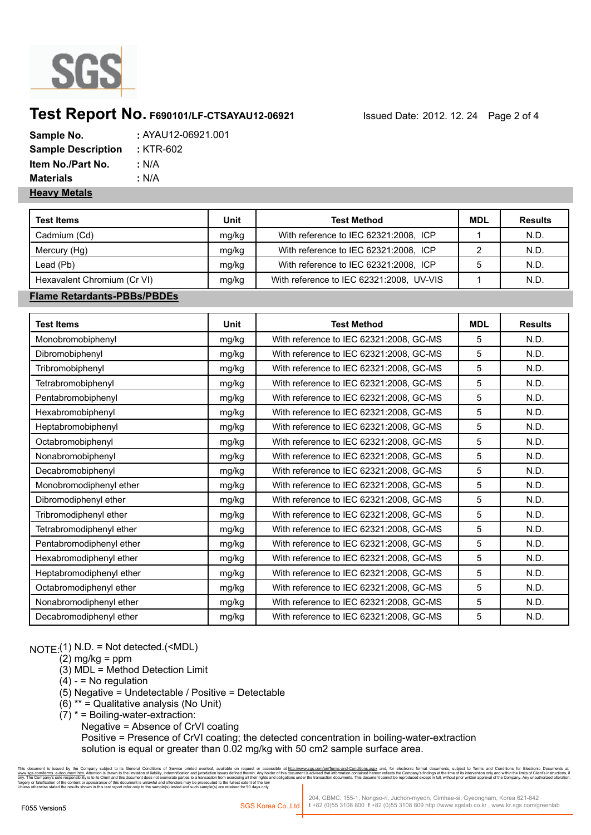

## **Test Report No. F690101/LF-CTSAYAU12-06921** Issued Date: 2012. 12. 24 Page 2 of 4

| Sample No.                | : AYAU12-06921.001 |
|---------------------------|--------------------|
| <b>Sample Description</b> | : KTR-602          |
| <b>Item No./Part No.</b>  | : N/A              |
| <b>Materials</b>          | : N/A              |
| <b>Heavy Metals</b>       |                    |

| <b>Test Items</b>           | Unit  | <b>Test Method</b>                       | <b>MDL</b> | <b>Results</b> |
|-----------------------------|-------|------------------------------------------|------------|----------------|
| Cadmium (Cd)                | mg/kg | With reference to IEC 62321:2008, ICP    |            | N.D.           |
| Mercury (Hg)                | mg/kg | With reference to IEC 62321:2008, ICP    |            | N.D.           |
| Lead (Pb)                   | mg/kg | With reference to IEC 62321:2008, ICP    |            | N.D.           |
| Hexavalent Chromium (Cr VI) | mg/kg | With reference to IEC 62321:2008, UV-VIS |            | N.D.           |

#### **Flame Retardants-PBBs/PBDEs**

| <b>Test Items</b>        | Unit  | <b>Test Method</b>                      | <b>MDL</b> | <b>Results</b> |
|--------------------------|-------|-----------------------------------------|------------|----------------|
| Monobromobiphenyl        | mg/kg | With reference to IEC 62321:2008, GC-MS | 5          | N.D.           |
| Dibromobiphenyl          | mg/kg | With reference to IEC 62321:2008, GC-MS | 5          | N.D.           |
| Tribromobiphenyl         | mg/kg | With reference to IEC 62321:2008, GC-MS | 5          | N.D.           |
| Tetrabromobiphenyl       | mg/kg | With reference to IEC 62321:2008, GC-MS | 5          | N.D.           |
| Pentabromobiphenyl       | mg/kg | With reference to IEC 62321:2008, GC-MS | 5          | N.D.           |
| Hexabromobiphenyl        | mg/kg | With reference to IEC 62321:2008, GC-MS | 5          | N.D.           |
| Heptabromobiphenyl       | mg/kg | With reference to IEC 62321:2008, GC-MS | 5          | N.D.           |
| Octabromobiphenyl        | mg/kg | With reference to IEC 62321:2008, GC-MS | 5          | N.D.           |
| Nonabromobiphenyl        | mg/kg | With reference to IEC 62321:2008, GC-MS | 5          | N.D.           |
| Decabromobiphenyl        | mg/kg | With reference to IEC 62321:2008, GC-MS | 5          | N.D.           |
| Monobromodiphenyl ether  | mg/kg | With reference to IEC 62321:2008, GC-MS | 5          | N.D.           |
| Dibromodiphenyl ether    | mg/kg | With reference to IEC 62321:2008, GC-MS | 5          | N.D.           |
| Tribromodiphenyl ether   | mg/kg | With reference to IEC 62321:2008, GC-MS | 5          | N.D.           |
| Tetrabromodiphenyl ether | mg/kg | With reference to IEC 62321:2008, GC-MS | 5          | N.D.           |
| Pentabromodiphenyl ether | mg/kg | With reference to IEC 62321:2008, GC-MS | 5          | N.D.           |
| Hexabromodiphenyl ether  | mg/kg | With reference to IEC 62321:2008, GC-MS | 5          | N.D.           |
| Heptabromodiphenyl ether | mg/kg | With reference to IEC 62321:2008, GC-MS | 5          | N.D.           |
| Octabromodiphenyl ether  | mg/kg | With reference to IEC 62321:2008, GC-MS | 5          | N.D.           |
| Nonabromodiphenyl ether  | mg/kg | With reference to IEC 62321:2008, GC-MS | 5          | N.D.           |
| Decabromodiphenyl ether  | mg/kg | With reference to IEC 62321:2008, GC-MS | 5          | N.D.           |

NOTE:(1) N.D. = Not detected.(<MDL)

- $(2)$  mg/kg = ppm
- (3) MDL = Method Detection Limit
- $(4) 10$  regulation
- (5) Negative = Undetectable / Positive = Detectable
- $(6)$  \*\* = Qualitative analysis (No Unit)
- $(7)^*$  = Boiling-water-extraction:
	- Negative = Absence of CrVI coating

 Positive = Presence of CrVI coating; the detected concentration in boiling-water-extraction solution is equal or greater than 0.02 mg/kg with 50 cm2 sample surface area.

nany subject to its General Conditions of Service printed overleaf, available on request or accessible at h<u>ttp://www.ags.com/en/Terms-and-Conditions.aspx</u> and, for electronic format documents, subject to Terms and Conditi forgery or falsification of the content or appearance of this document is unlawful and offenders may be prosecuted to the fullest extent of the law<br>Unless otherwise stated the results shown in this test report refer only t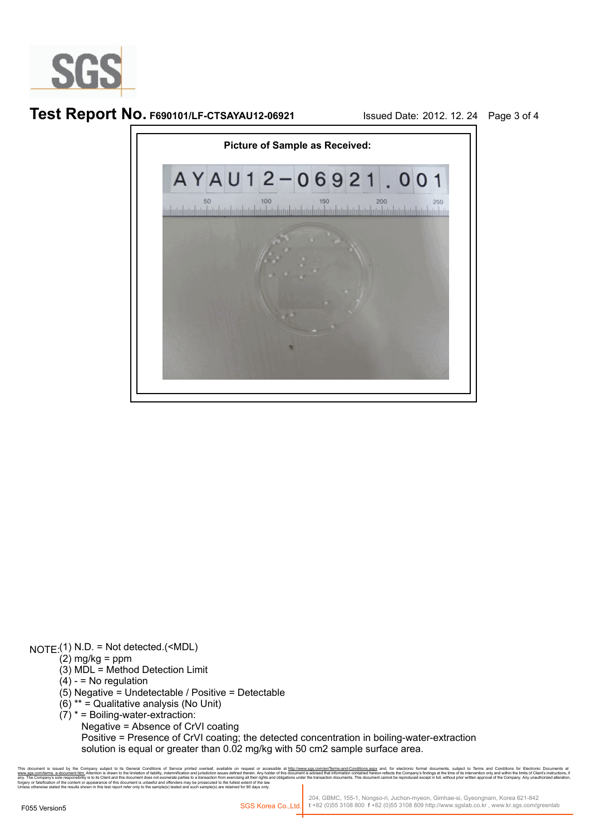

**Test Report No. F690101/LF-CTSAYAU12-06921** Issued Date: 2012. 12. 24 Page 3 of 4



NOTE:(1) N.D. = Not detected.(<MDL)

- $(2)$  mg/kg = ppm
- (3) MDL = Method Detection Limit
- $(4) 10$  regulation
- (5) Negative = Undetectable / Positive = Detectable
- $(6)$ <sup>\*\*</sup> = Qualitative analysis (No Unit)
- $(7)^*$  = Boiling-water-extraction:

Negative = Absence of CrVI coating

 Positive = Presence of CrVI coating; the detected concentration in boiling-water-extraction solution is equal or greater than 0.02 mg/kg with 50 cm2 sample surface area.

nic format documents, subject to Terms and Conditions for Electronic Documents<br>npany's findings at the time of its intervention only and within the limits of Client's instruction<br>duced except in full, without prior written forgery or falsification of the content or appearance of this document is unlawful and offenders may be prosecuted to the fullest extent of the law<br>Unless otherwise stated the results shown in this test report refer only t